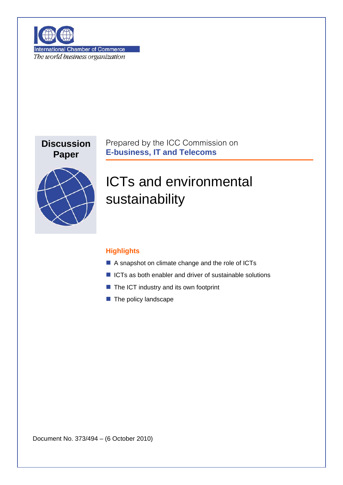

**International Chamber of Commerce** The world business organization

## **Discussion Paper**

Prepared by the ICC Commission on **E-business, IT and Telecoms**



ICTs and environmental sustainability

## **Highlights**

- A snapshot on climate change and the role of ICTs
- $\blacksquare$  ICTs as both enabler and driver of sustainable solutions
- $\blacksquare$  The ICT industry and its own footprint
- $\blacksquare$  The policy landscape

Document No. 373/494 – (6 October 2010)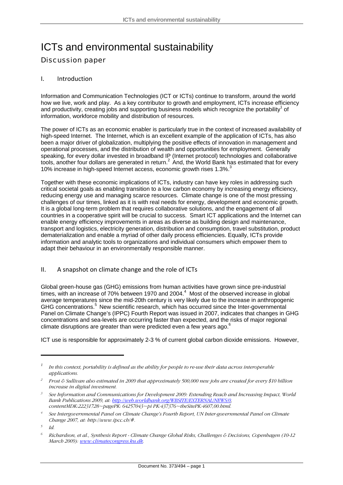# ICTs and environmental sustainability Discussion paper

### I. Introduction

Information and Communication Technologies (ICT or ICTs) continue to transform, around the world how we live, work and play. As a key contributor to growth and employment, ICTs increase efficiency and productivity, creating jobs and supporting business models which recognize the portability<sup>[1](#page-1-0)</sup> of information, workforce mobility and distribution of resources.

The power of ICTs as an economic enabler is particularly true in the context of increased availability of high-speed Internet. The Internet, which is an excellent example of the application of ICTs, has also been a major driver of globalization, multiplying the positive effects of innovation in management and operational processes, and the distribution of wealth and opportunities for employment. Generally speaking, for every dollar invested in broadband IP (Internet protocol) technologies and collaborative tools, another four dollars are generated in return.<sup>2</sup> And, the World Bank has estimated that for every 10% increase in high-speed Internet access, economic growth rises 1.[3](#page-1-2)%.<sup>3</sup>

Together with these economic implications of ICTs, industry can have key roles in addressing such critical societal goals as enabling transition to a low carbon economy by increasing energy efficiency, reducing energy use and managing scarce resources. Climate change is one of the most pressing challenges of our times, linked as it is with real needs for energy, development and economic growth. It is a global long-term problem that requires collaborative solutions, and the engagement of all countries in a cooperative spirit will be crucial to success. Smart ICT applications and the Internet can enable energy efficiency improvements in areas as diverse as building design and maintenance, transport and logistics, electricity generation, distribution and consumption, travel substitution, product dematerialization and enable a myriad of other daily process efficiencies. Equally, ICTs provide information and analytic tools to organizations and individual consumers which empower them to adapt their behaviour in an environmentally responsible manner.

#### II. A snapshot on climate change and the role of ICTs

Global green-house gas (GHG) emissions from human activities have grown since pre-industrial times, with an increase of 70% between 1970 and 200[4](#page-1-3).<sup>4</sup> Most of the observed increase in global average temperatures since the mid-20th century is very likely due to the increase in anthropogenic GHG concentrations.<sup>5</sup> New scientific research, which has occurred since the Inter-governmental Panel on Climate Change's (IPPC) Fourth Report was issued in 2007, indicates that changes in GHG concentrations and sea-levels are occurring faster than expected, and the risks of major regional climate disruptions are greater than were predicted even a few years ago.<sup>[6](#page-1-5)</sup>

ICT use is responsible for approximately 2-3 % of current global carbon dioxide emissions. However,

<span id="page-1-0"></span>*<sup>1</sup> In this context, portability is defined as the ability for people to re-use their data across interoperable applications.* 

<span id="page-1-1"></span>*<sup>2</sup> Frost & Sullivan also estimated in 2009 that approximately 500,000 new jobs are created for every \$10 billion increase in digital investment.*

<span id="page-1-2"></span>*<sup>3</sup> See Information and Communications for Development 2009: Extending Reach and Increasing Impact, World Bank Publications 2009, at: [http://web.worldbank.org/WBSITE/EXTERNAL/NEWS/0,](http://web.worldbank.org/WBSITE/EXTERNAL/NEWS/0) contentMDK:22231728~pagePK: 64257043~pi PK:437376~theSitePK:4607,00.html.* 

<span id="page-1-3"></span>*<sup>4</sup> See Intergovernmental Panel on Climate Change's Fourth Report, UN Inter-governmental Panel on Climate Change 2007, at: http://www.ipcc.ch/#.* 

<span id="page-1-4"></span>*<sup>5</sup> Id.* 

<span id="page-1-5"></span>*<sup>6</sup> Richardson, et al., Synthesis Report - Climate Change Global Risks, Challenges & Decisions, Copenhagen (10-12 March 2009): [www.climatecongress.ku.dk](http://www.climatecongress.ku.dk/).*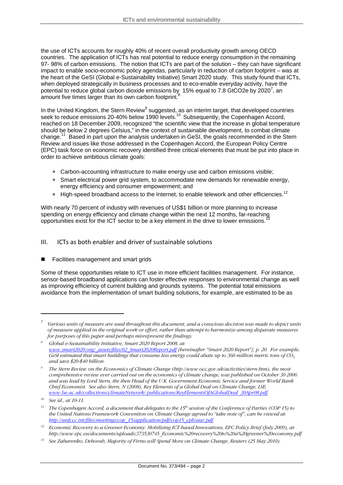the use of ICTs accounts for roughly 40% of recent overall productivity growth among OECD countries. The application of ICTs has real potential to reduce energy consumption in the remaining 97- 98% of carbon emissions. The notion that ICTs are part of the solution – they can have significant impact to enable socio-economic policy agendas, particularly in reduction of carbon footprint – was at the heart of the GeSI (Global e-Sustainability Initiative) Smart 2020 study. This study found that ICTs, when deployed strategically in business processes and to eco-enable everyday activity, have the potential to reduce global carbon dioxide emissions by 15% equal to [7](#page-2-0).[8](#page-2-1) GtCO2e by 2020<sup>7</sup>, an amount five times larger than its own carbon footprint.

In the United Kingdom, the Stern Review<sup>[9](#page-2-2)</sup> suggested, as an interim target, that developed countries seek to reduce emissions 20-40% below 1990 levels.<sup>10</sup> Subsequently, the Copenhagen Accord, reached on 18 December 2009, recognized "the scientific view that the increase in global temperature should be below 2 degrees Celsius," in the context of sustainable development, to combat climate change.<sup>11</sup> Based in part upon the analysis undertaken in GeSI, the goals recommended in the Stern Review and issues like those addressed in the Copenhagen Accord, the European Policy Centre (EPC) task force on economic recovery identified three critical elements that must be put into place in order to achieve ambitious climate goals:

- Carbon-accounting infrastructure to make energy use and carbon emissions visible;
- Smart electrical power grid system, to accommodate new demands for renewable energy, energy efficiency and consumer empowerment; and
- $\bullet$  High-speed broadband access to the Internet, to enable telework and other efficiencies.<sup>[12](#page-2-5)</sup>

With nearly 70 percent of industry with revenues of US\$1 billion or more planning to increase spending on energy efficiency and climate change within the next 12 months, far-reaching opportunities exist for the ICT sector to be a key element in the drive to lower emissions.<sup>1</sup>

### III. ICTs as both enabler and driver of sustainable solutions

■ Facilities management and smart grids

Some of these opportunities relate to ICT use in more efficient facilities management. For instance, sensor-based broadband applications can foster effective responses to environmental change as well as improving efficiency of current building and grounds systems. The potential total emissions avoidance from the implementation of smart building solutions, for example, are estimated to be as

<span id="page-2-0"></span>*<sup>7</sup> Various units of measure are used throughout this document, and a conscious decision was made to depict units of measure applied in the original work or effort, rather than attempt to harmonize among disparate measures for purposes of this paper and perhaps misrepresent the findings.*

<span id="page-2-1"></span>*<sup>8</sup> Global e-Sustainability Initiative, Smart 2020 Report 2008, at: [www.smart2020.org/\\_assets/files/02\\_Smart2020Report.pdf](http://www.smart2020.org/_assets/files/02_Smart2020Report.pdf) [hereinafter "Smart 2020 Report"], p. 20. For example, GeSI estimated that smart buildings that consume less energy could abate up to 360 million metric tons of CO<sub>2</sub> and save \$20-\$40 billion.* 

<span id="page-2-2"></span>*<sup>9</sup> The Stern Review on the Economics of Climate Change (http://www.occ.gov.uk/activities/stern.htm), the most comprehensive review ever carried out on the economics of climate change, was published on October 30 2006 and was lead by Lord Stern, the then Head of the U.K. Government Economic Service and former World Bank Chief Economist. See also Stern, N (2008), Key Elements of a Global Deal on Climate Change, LSE, [www.lse.ac.uk/collections/climateNetwork/ publications/KeyElementsOfAGlobalDeal\\_30Apr08.pdf](http://www.lse.ac.uk/collections/climateNetwork/ publications/KeyElementsOfAGlobalDeal_30Apr08.pdf).* 

<span id="page-2-3"></span>*<sup>10</sup> See id., at 10-11.* 

<span id="page-2-4"></span><sup>&</sup>lt;sup>11</sup> *The Copenhagen Accord, a document that delegates to the 15<sup>th</sup> session of the Conference of Parties (COP 15) to the United Nations Framework Convention on Climate Change agreed to "take note of", can be viewed at: [http://unfccc.int/files/meetings/cop\\_15/application/pdf/cop15\\_cph/auv.pdf.](http://unfccc.int/files/meetings/cop_15/application/pdf/cop15_cph/auv.pdf)* 

<span id="page-2-5"></span>*<sup>12</sup> Economic Recovery to a Greener Economy: Mobilising ICT-based Innovations, EPC Policy Brief (July 2009), at: http://www.epc.eu/documents/uploads/373530745\_Economic%20recovery%20to%20a%20greener%20economy.pdf* 

<span id="page-2-6"></span>*<sup>13</sup> See Zabarenko, Deborah, Majority of Firms will Spend More on Climate Change, Reuters (25 May 2010).*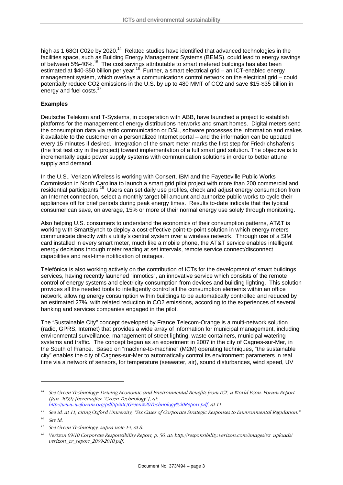high as 1.68Gt C02e by 2020.<sup>14</sup> Related studies have identified that advanced technologies in the facilities space, such as Building Energy Management Systems (BEMS), could lead to energy savings of between 5%-40%.[15](#page-3-1) The cost savings attributable to smart metered buildings has also been estimated at \$40-\$50 billion per year.<sup>16</sup> Further, a smart electrical grid – an ICT-enabled energy management system, which overlays a communications control network on the electrical grid – could potentially reduce CO2 emissions in the U.S. by up to 480 MMT of CO2 and save \$15-\$35 billion in energy and fuel costs.<sup>[17](#page-3-3)</sup>

#### **Examples**

Deutsche Telekom and T-Systems, in cooperation with ABB, have launched a project to establish platforms for the management of energy distributions networks and smart homes. Digital meters send the consumption data via radio communication or DSL, software processes the information and makes it available to the customer on a personalized Internet portal – and the information can be updated every 15 minutes if desired. Integration of the smart meter marks the first step for Friedrichshafen's (the first test city in the project) toward implementation of a full smart grid solution. The objective is to incrementally equip power supply systems with communication solutions in order to better attune supply and demand.

In the U.S., Verizon Wireless is working with Consert, IBM and the Fayetteville Public Works Commission in North Carolina to launch a smart grid pilot project with more than 200 commercial and residential participants.<sup>18</sup> Users can set daily use profiles, check and adjust energy consumption from an Internet connection, select a monthly target bill amount and authorize public works to cycle their appliances off for brief periods during peak energy times. Results to-date indicate that the typical consumer can save, on average, 15% or more of their normal energy use solely through monitoring.

Also helping U.S. consumers to understand the economics of their consumption patterns, AT&T is working with SmartSynch to deploy a cost-effective point-to-point solution in which energy meters communicate directly with a utility's central system over a wireless network. Through use of a SIM card installed in every smart meter, much like a mobile phone, the AT&T service enables intelligent energy decisions through meter reading at set intervals, remote service connect/disconnect capabilities and real-time notification of outages.

Telefónica is also working actively on the contribution of ICTs for the development of smart buildings services, having recently launched "inmotics", an innovative service which consists of the remote control of energy systems and electricity consumption from devices and building lighting. This solution provides all the needed tools to intelligently control all the consumption elements within an office network, allowing energy consumption within buildings to be automatically controlled and reduced by an estimated 27%, with related reduction in CO2 emissions, according to the experiences of several banking and services companies engaged in the pilot.

The "Sustainable City" concept developed by France Telecom-Orange is a multi-network solution (radio, GPRS, Internet) that provides a wide array of information for municipal management, including environmental surveillance, management of street lighting, waste containers, municipal watering systems and traffic. The concept began as an experiment in 2007 in the city of Cagnes-sur-Mer, in the South of France. Based on "machine-to-machine" (M2M) operating techniques, "the sustainable city" enables the city of Cagnes-sur-Mer to automatically control its environment parameters in real time via a network of sensors, for temperature (seawater, air), sound disturbances, wind speed, UV

<span id="page-3-0"></span>*<sup>14</sup> See Green Technology: Driving Economic and Environmental Benefits from ICT, a World Econ. Forum Report (Jan. 2009) [hereinafter "Green Technology"], at:* 

*[http://www.weforum.org/pdf/ip/ittc/Green%20Technology%20Report.pdf,](http://www.weforum.org/pdf/ip/ittc/Green Technology Report.pdf) at 11.* 

<span id="page-3-1"></span>*<sup>15</sup> See id. at 11, citing Oxford University, "Six Cases of Corporate Strategic Responses to Environmental Regulation."*

<span id="page-3-2"></span>*<sup>16</sup> See id.*

<span id="page-3-3"></span>*<sup>17</sup> See Green Technology, supra note 14, at 8.*

<span id="page-3-4"></span>*<sup>18</sup> Verizon 09/10 Corporate Responsibility Report, p. 56, at: http://responsibility.verizon.com/images/vz\_uploads/ verizon\_cr\_report\_2009-2010.pdf.*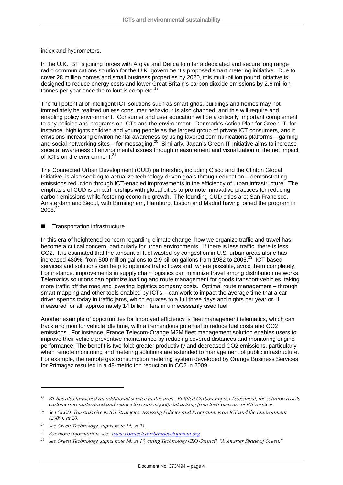index and hydrometers.

In the U.K., BT is joining forces with Arqiva and Detica to offer a dedicated and secure long range radio communications solution for the U.K. government's proposed smart metering initiative. Due to cover 28 million homes and small business properties by 2020, this multi-billion pound initiative is designed to reduce energy costs and lower Great Britain's carbon dioxide emissions by 2.6 million tonnes per year once the rollout is complete.<sup>19</sup>

The full potential of intelligent ICT solutions such as smart grids, buildings and homes may not immediately be realized unless consumer behaviour is also changed, and this will require and enabling policy environment. Consumer and user education will be a critically important complement to any policies and programs on ICTs and the environment. Denmark's Action Plan for Green IT, for instance, highlights children and young people as the largest group of private ICT consumers, and it envisions increasing environmental awareness by using favored communications platforms – gaming and social networking sites – for messaging.<sup>20</sup> Similarly, Japan's Green IT Initiative aims to increase societal awareness of environmental issues through measurement and visualization of the net impact of ICTs on the environment.<sup>[21](#page-4-2)</sup>

The Connected Urban Development (CUD) partnership, including Cisco and the Clinton Global Initiative, is also seeking to actualize technology-driven goals through education – demonstrating emissions reduction through ICT-enabled improvements in the efficiency of urban infrastructure. The emphasis of CUD is on partnerships with global cities to promote innovative practices for reducing carbon emissions while fostering economic growth. The founding CUD cities are: San Francisco, Amsterdam and Seoul, with Birmingham, Hamburg, Lisbon and Madrid having joined the program in 2008[.22](#page-4-3)

#### Transportation infrastructure

In this era of heightened concern regarding climate change, how we organize traffic and travel has become a critical concern, particularly for urban environments. If there is less traffic, there is less CO2. It is estimated that the amount of fuel wasted by congestion in U.S. urban areas alone has increased 480%, from 500 million gallons to 2.9 billion gallons from 1982 to 2005.<sup>23</sup> ICT-based services and solutions can help to optimize traffic flows and, where possible, avoid them completely. For instance, improvements in supply chain logistics can minimize travel among distribution networks. Telematics solutions can optimize loading and route management for goods transport vehicles, taking more traffic off the road and lowering logistics company costs. Optimal route management – through smart mapping and other tools enabled by ICTs – can work to impact the average time that a car driver spends today in traffic jams, which equates to a full three days and nights per year or, if measured for all, approximately 14 billion liters in unnecessarily used fuel.

Another example of opportunities for improved efficiency is fleet management telematics, which can track and monitor vehicle idle time, with a tremendous potential to reduce fuel costs and CO2 emissions. For instance, France Telecom-Orange M2M fleet management solution enables users to improve their vehicle preventive maintenance by reducing covered distances and monitoring engine performance. The benefit is two-fold: greater productivity and decreased CO2 emissions, particularly when remote monitoring and metering solutions are extended to management of public infrastructure. For example, the remote gas consumption metering system developed by Orange Business Services for Primagaz resulted in a 48-metric ton reduction in CO2 in 2009.

<span id="page-4-0"></span>*<sup>19</sup> BT has also launched an additional service in this area. Entitled Carbon Impact Assessment, the solution assists customers to understand and reduce the carbon footprint arising from their own use of ICT services.*

<span id="page-4-1"></span>*<sup>20</sup> See OECD, Towards Green ICT Strategies: Assessing Policies and Programmes on ICT and the Environment (2009), at 20.* 

<span id="page-4-2"></span>*<sup>21</sup> See Green Technology, supra note 14, at 21.*

<span id="page-4-3"></span>*<sup>22</sup> For more information, see: [www.connectedurbandevelopment.org.](http://www.connectedurbandevelopment.org/)* 

<span id="page-4-4"></span>*<sup>23</sup> See Green Technology, supra note 14, at 13, citing Technology CEO Council, "A Smarter Shade of Green."*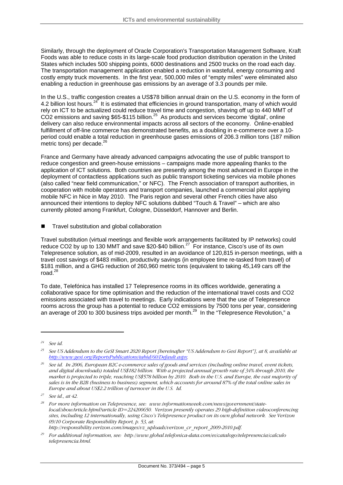Similarly, through the deployment of Oracle Corporation's Transportation Management Software, Kraft Foods was able to reduce costs in its large-scale food production distribution operation in the United States which includes 500 shipping points, 6000 destinations and 2500 trucks on the road each day. The transportation management application enabled a reduction in wasteful, energy consuming and costly empty truck movements. In the first year, 500,000 miles of "empty miles" were eliminated also enabling a reduction in greenhouse gas emissions by an average of 3.3 pounds per mile.

In the U.S., traffic congestion creates a US\$78 billion annual drain on the U.S. economy in the form of 4.2 billion lost hours.<sup>24</sup> It is estimated that efficiencies in ground transportation, many of which would rely on ICT to be actualized could reduce travel time and congestion, shaving off up to 440 MMT of  $CO2$  emissions and saving \$65-\$115 billion.<sup>25</sup> As products and services become 'digital', online delivery can also reduce environmental impacts across all sectors of the economy. Online-enabled fulfillment of off-line commerce has demonstrated benefits, as a doubling in e-commerce over a 10 period could enable a total reduction in greenhouse gases emissions of 206.3 million tons (187 million .<br>metric tons) per decade.<sup>[26](#page-5-2)</sup>

France and Germany have already advanced campaigns advocating the use of public transport to reduce congestion and green-house emissions – campaigns made more appealing thanks to the application of ICT solutions. Both countries are presently among the most advanced in Europe in the deployment of contactless applications such as public transport ticketing services via mobile phones (also called "near field communication," or NFC). The French association of transport authorities, in cooperation with mobile operators and transport companies, launched a commercial pilot applying mobile NFC in Nice in May 2010. The Paris region and several other French cities have also announced their intentions to deploy NFC solutions dubbed "Touch & Travel" – which are also currently piloted among Frankfurt, Cologne, Düsseldorf, Hannover and Berlin.

■ Travel substitution and global collaboration

Travel substitution (virtual meetings and flexible work arrangements facilitated by IP networks) could reduce CO2 by up to 130 MMT and save \$20-\$40 billion.<sup>27</sup> For instance, Cisco's use of its own Telepresence solution, as of mid-2009, resulted in an avoidance of 120,815 in-person meetings, with a travel cost savings of \$483 million, productivity savings (in employee time re-tasked from travel) of \$181 million, and a GHG reduction of 260,960 metric tons (equivalent to taking 45,149 cars off the road. $^{28}$ 

To date, Telefónica has installed 17 Telepresence rooms in its offices worldwide, generating a collaborative space for time optimisation and the reduction of the international travel costs and CO2 emissions associated with travel to meetings. Early indications were that the use of Telepresence rooms across the group has a potential to reduce CO2 emissions by 7500 tons per year, considering an average of 200 to 300 business trips avoided per month.<sup>29</sup> In the "Telepresence Revolution," a

<span id="page-5-0"></span>*<sup>24</sup> See id.*

<span id="page-5-1"></span>*<sup>25</sup> See US Addendum to the GeSI Smart 2020 Report [hereinafter "US Addendum to Gesi Report"], at 8, available at <http://www.gesi.org/ReportsPublications/tabid/60/Default.aspx>.* 

<span id="page-5-2"></span>*<sup>26</sup> See id. In 2006, European B2C e-commerce sales of goods and services (including online travel, event tickets, and digital downloads) totaled US\$182 billion. With a projected annual growth rate of 34% through 2010, the market is projected to triple, reaching US\$578 billion by 2010. Both in the U.S. and Europe, the vast majority of sales is in the B2B (business to business) segment, which accounts for around 87% of the total online sales in Europe and about US\$2.2 trillion of turnover in the U.S. Id.*

<span id="page-5-3"></span>*<sup>27</sup> See id., at 42.* 

<span id="page-5-4"></span>*<sup>28</sup> For more information on Telepresence, see: www.informationweek.com/news/government/statelocal/showArticle.hjtml?article ID=224200650. Verizon presently operates 29 high-definition videoconferencing sites, including 12 internationally, using Cisco's Telepresence product on its own global network. See Verizon 09/10 Corporate Responsibility Report, p. 53, at:* 

*http://responsibility.verizon.com/images/vz\_uploads/verizon\_cr\_report\_2009-2010.pdf.* 

<span id="page-5-5"></span>*<sup>29</sup> For additional information, see: http://www.global.telefonica-data.com/es/catalogo/telepresencia/calculo telepresencia.html.*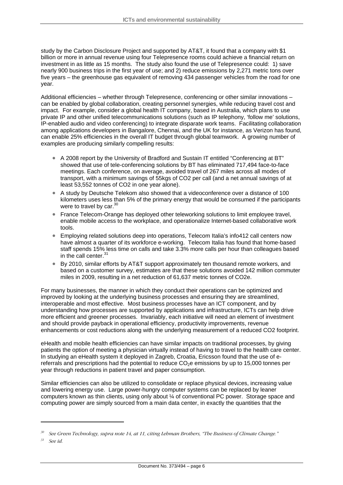study by the Carbon Disclosure Project and supported by AT&T, it found that a company with \$1 billion or more in annual revenue using four Telepresence rooms could achieve a financial return on investment in as little as 15 months. The study also found the use of Telepresence could: 1) save nearly 900 business trips in the first year of use; and 2) reduce emissions by 2,271 metric tons over five years – the greenhouse gas equivalent of removing 434 passenger vehicles from the road for one year.

Additional efficiencies – whether through Telepresence, conferencing or other similar innovations – can be enabled by global collaboration, creating personnel synergies, while reducing travel cost and impact. For example, consider a global health IT company, based in Australia, which plans to use private IP and other unified telecommunications solutions (such as IP telephony, 'follow me' solutions, IP-enabled audio and video conferencing) to integrate disparate work teams. Facilitating collaboration among applications developers in Bangalore, Chennai, and the UK for instance, as Verizon has found, can enable 25% efficiencies in the overall IT budget through global teamwork. A growing number of examples are producing similarly compelling results:

- A 2008 report by the University of Bradford and Sustain IT entitled "Conferencing at BT" showed that use of tele-conferencing solutions by BT has eliminated 717,494 face-to-face meetings. Each conference, on average, avoided travel of 267 miles across all modes of transport, with a minimum savings of 55kgs of CO2 per call (and a net annual savings of at least 53,552 tonnes of CO2 in one year alone).
- A study by Deutsche Telekom also showed that a videoconference over a distance of 100 kilometers uses less than 5% of the primary energy that would be consumed if the participants were to travel by car.<sup>[30](#page-6-0)</sup>
- France Telecom-Orange has deployed other teleworking solutions to limit employee travel, enable mobile access to the workplace, and operationalize Internet-based collaborative work tools.
- Employing related solutions deep into operations, Telecom Italia's info412 call centers now have almost a quarter of its workforce e-working. Telecom Italia has found that home-based staff spends 15% less time on calls and take 3.3% more calls per hour than colleagues based in the call center.<sup>[31](#page-6-1)</sup>
- By 2010, similar efforts by AT&T support approximately ten thousand remote workers, and based on a customer survey, estimates are that these solutions avoided 142 million commuter miles in 2009, resulting in a net reduction of 61,637 metric tonnes of CO2e.

more efficient and greener processes. Invariably, each initiative will need an element of investment enhancements or cost reductions along with the underlying measurement of a reduced CO2 footprint. For many businesses, the manner in which they conduct their operations can be optimized and improved by looking at the underlying business processes and ensuring they are streamlined, interoperable and most effective. Most business processes have an ICT component, and by understanding how processes are supported by applications and infrastructure, ICTs can help drive and should provide payback in operational efficiency, productivity improvements, revenue

patients the option of meeting a physician virtually instead of having to travel to the health care center. referrals and prescriptions had the potential to reduce  $CO<sub>2</sub>e$  emissions by up to 15,000 tonnes per year through reductions in patient travel and paper consumption. eHealth and mobile health efficiencies can have similar impacts on traditional processes, by giving In studying an eHealth system it deployed in Zagreb, Croatia, Ericsson found that the use of e-

computers known as thin clients, using only about ¼ of conventional PC power. Storage space and Similar efficiencies can also be utilized to consolidate or replace physical devices, increasing value and lowering energy use. Large power-hungry computer systems can be replaced by leaner computing power are simply sourced from a main data center, in exactly the quantities that the

<span id="page-6-0"></span>*<sup>30</sup> See Green Technology, supra note 14, at 11, citing Lehman Brothers, "The Business of Climate Change."*

<span id="page-6-1"></span>*<sup>31</sup> See id.*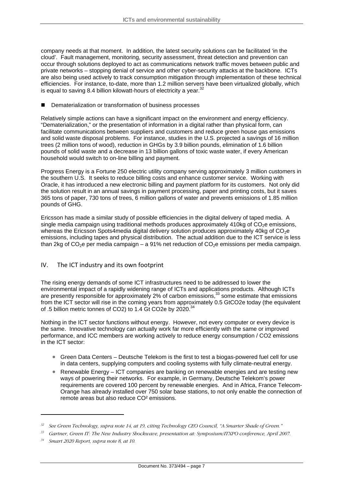company needs at that moment. In addition, the latest security solutions can be facilitated 'in the cloud'. Fault management, monitoring, security assessment, threat detection and prevention can occur through solutions deployed to act as communications network traffic moves between public and private networks – stopping denial of service and other cyber-security attacks at the backbone. ICTs are also being used actively to track consumption mitigation through implementation of these technical efficiencies. For instance, to-date, more than 1.2 million servers have been virtualized globally, which is equal to saving 8.4 billion kilowatt-hours of electricity a year.<sup>[32](#page-7-0)</sup>

Dematerialization or transformation of business processes Ξ

. Relatively simple actions can have a significant impact on the environment and energy efficiency and solid waste disposal problems. For instance, studies in the U.S. projected a savings of 16 million pounds of solid waste and a decrease in 13 billion gallons of toxic waste water, if every American household would switch to on-line billing and payment. "Dematerialization," or the presentation of information in a digital rather than physical form, can facilitate communications between suppliers and customers and reduce green house gas emissions trees (2 million tons of wood), reduction in GHGs by 3.9 billion pounds, elimination of 1.6 billion

Progress Energy is a Fortune 250 electric utility company serving approximately 3 million customers in 365 tons of paper, 730 tons of trees, 6 million gallons of water and prevents emissions of 1.85 million pounds of GHG. the southern U.S. It seeks to reduce billing costs and enhance customer service. Working with Oracle, it has introduced a new electronic billing and payment platform for its customers. Not only did the solution result in an annual savings in payment processing, paper and printing costs, but it saves

than 2kg of CO<sub>2</sub>e per media campaign – a 91% net reduction of CO<sub>2</sub>e emissions per media campaign. Ericsson has made a similar study of possible efficiencies in the digital delivery of taped media. A single media campaign using traditional methods produces approximately 410kg of  $CO<sub>2</sub>e$  emissions, whereas the Ericsson Spots4media digital delivery solution produces approximately 40kg of CO<sub>2</sub>e emissions, including tapes and physical distribution. The actual addition due to the ICT service is less

#### The ICT industry and its own footprint IV.

from the ICT sector will rise in the coming years from approximately 0.5 GtCO2e today (the equivalent of .5 billion metric tonnes of CO2) to 1.4 Gt CO2e by 2020.<sup>[34](#page-7-2)</sup> The rising energy demands of some ICT infrastructures need to be addressed to lower the environmental impact of a rapidly widening range of ICTs and applications products. Although ICTs are presently responsible for approximately 2% of carbon emissions,<sup>33</sup> some estimate that emissions

Nothing in the ICT sector functions without energy. However, not every computer or every device is performance, and ICC members are working actively to reduce energy consumption / CO2 emissions in the ICT sector: the same. Innovative technology can actually work far more efficiently with the same or improved

- Green Data Centers Deutsche Telekom is the first to test a biogas-powered fuel cell for use in data centers, supplying computers and cooling systems with fully climate-neutral energy.
- Renewable Energy ICT companies are banking on renewable energies and are testing new Orange has already installed over 750 solar base stations, to not only enable the connection of remote areas but also reduce CO² emissions. ways of powering their networks. For example, in Germany, Deutsche Telekom's power requirements are covered 100 percent by renewable energies. And in Africa, France Telecom-

<span id="page-7-0"></span>*<sup>32</sup> See Green Technology, supra note 14, at 19, citing Technology CEO Council, "A Smarter Shade of Green."*

<span id="page-7-1"></span>*<sup>33</sup> Gartner, Green IT: The New Industry Shockwave, presentation at: Symposium/ITXPO conference, April 2007.*

<span id="page-7-2"></span>*<sup>34</sup> Smart 2020 Report, supra note 8, at 10.*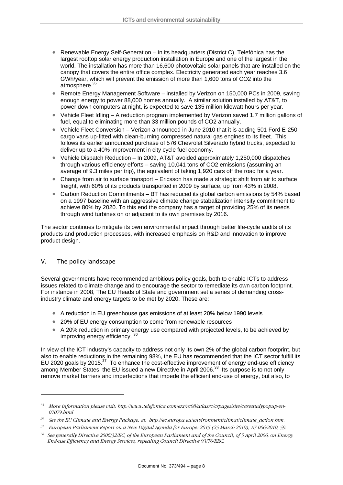- Renewable Energy Self-Generation In its headquarters (District C), Telefónica has the largest rooftop solar energy production installation in Europe and one of the largest in the world. The installation has more than 16,600 photovoltaic solar panels that are installed on the canopy that covers the entire office complex. Electricity generated each year reaches 3.6 GWh/year, which will prevent the emission of more than 1,600 tons of CO2 into the atmosphere.<sup>[35](#page-8-0)</sup>
- Remote Energy Management Software installed by Verizon on 150,000 PCs in 2009, saving enough energy to power 88,000 homes annually. A similar solution installed by AT&T, to power down computers at night, is expected to save 135 million kilowatt hours per year.
- Vehicle Fleet Idling A reduction program implemented by Verizon saved 1.7 million gallons of fuel, equal to eliminating more than 33 million pounds of CO2 annually.
- Vehicle Fleet Conversion Verizon announced in June 2010 that it is adding 501 Ford E-250 cargo vans up-fitted with clean-burning compressed natural gas engines to its fleet. This follows its earlier announced purchase of 576 Chevrolet Silverado hybrid trucks, expected to deliver up to a 40% improvement in city cycle fuel economy.
- Vehicle Dispatch Reduction In 2009, AT&T avoided approximately 1,250,000 dispatches through various efficiency efforts – saving 10,041 tons of CO2 emissions (assuming an average of 9.3 miles per trip), the equivalent of taking 1,920 cars off the road for a year.
- Change from air to surface transport Ericsson has made a strategic shift from air to surface freight, with 60% of its products transported in 2009 by surface, up from 43% in 2008.
- Carbon Reduction Commitments BT has reduced its global carbon emissions by 54% based achieve 80% by 2020. To this end the company has a target of providing 25% of its needs on a 1997 baseline with an aggressive climate change stabalization intensity commitment to through wind turbines on or adjacent to its own premises by 2016.

products and production processes, with increased emphasis on R&D and innovation to improve roduct design. p The sector continues to mitigate its own environmental impact through better life-cycle audits of its

#### . The policy landscape  $V_{\cdot}$

issues related to climate change and to encourage the sector to remediate its own carbon footprint. For instance in 2008, The EU Heads of State and government set a series of demanding crossindustry climate and energy targets to be met by 2020. These are: Several governments have recommended ambitious policy goals, both to enable ICTs to address

- A reduction in EU greenhouse gas emissions of at least 20% below 1990 levels
- 20% of EU energy consumption to come from renewable resources
- A 20% reduction in primary energy use compared with projected levels, to be achieved by improving energy efficiency.<sup>[36](#page-8-1)</sup>

also to enable reductions in the remaining 98%, the EU has recommended that the ICT sector fulfill its In view of the ICT industry's capacity to address not only its own 2% of the global carbon footprint, but EU 2020 goals by 2015.<sup>37</sup> To enhance the cost-effective improvement of energy end-use efficiency among Member States, the EU issued a new Directive in April 2006.<sup>38</sup> Its purpose is to not only remove market barriers and imperfections that impede the efficient end-use of energy, but also, to

<span id="page-8-0"></span>*<sup>35</sup> More information please visit: http://www.telefonica.com/ext/rc08/atlasrc/cspages/site/casestudypopup-en-07079.html* 

<span id="page-8-1"></span>*<sup>36</sup> See the EU Climate and Energy Package, at: http://ec.europa.eu/environment/climat/climate\_action.htm.*

<span id="page-8-2"></span>*<sup>37</sup> European Parliament Report on a New Digital Agenda for Europe: 2015 (25 March 2010), A7-006/2010, 59.* 

<span id="page-8-3"></span>*<sup>38</sup> See generally Directive 2006/32/EC, of the European Parliament and of the Council, of 5 April 2006, on Energy End-use Efficiency and Energy Services, repealing Council Directive 93/76/EEC.*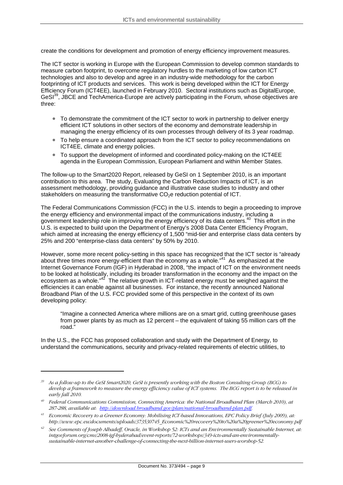create the conditions for development and promotion of energy efficiency improvement measures.

The ICT sector is working in Europe with the European Commission to develop common stan dards to measure carbon footprint, to overcome regulatory hurdles to the marketing of low carbon ICT technologies and also to develop and agree in an industry-wide methodology for the carbon footprinting of ICT products and services. This work is being developed within the ICT for Energy Efficienc y Forum (ICT4EE), launched in February 2010. Sectoral institutions such as DigitalEurope, GeSI<sup>[39](#page-9-0)</sup>, JBCE and TechAmerica-Europe are actively participating in the Forum, whose objectives are three:

- To demonstrate the commitment of the ICT sector to work in partnership to deliver energy managing the energy efficiency of its own processes through delivery of its 3 year roadmap. efficient ICT solutions in other sectors of the economy and demonstrate leadership in
- To help ensure a coordinated approach from the ICT sector to policy recommendations on ICT4EE, climate and energy policies.
- To support the development of informed and coordinated policy-making on the ICT4EE agenda in the European Commission, European Parliament and within Member States.

contribution to this area. The study, Evaluating the Carbon Reduction Impacts of ICT, is an The follow-up to the Smart2020 Report, released by GeSI on 1 September 2010, is an important assessment methodology, providing guidance and illustrative case studies to industry and other stakeholders on measuring the transformative CO<sub>2</sub>e reduction potential of ICT.

The Federal Communications Commission (FCC) in the U.S. intends to begin a proceeding to improve U.S. is expected to build upon the Department of Energy's 2008 Data Center Efficiency Program, the energy efficiency and environmental impact of the communications industry, including a government leadership role in improving the energy efficiency of its data centers.<sup>40</sup> This effort in the which aimed at increasing the energy efficiency of 1,500 "mid-tier and enterprise class data centers by 25% and 200 "enterprise-class data centers" by 50% by 2010.

Internet Governance Forum (IGF) in Hyderabad in 2008, "the impact of ICT on the environment needs to be looked at holistically, including its broader transformation in the economy and the impact on the ecosystem as a whole." $42$  The relative growth in ICT-related energy must be weighed against the efficiencies it can enable against all businesses. For instance, the recently announced National Broadband Plan of the U.S. FCC provided some of this perspective in the context of its own develop ing policy: However, some more recent policy-setting in this space has recognized that the ICT sector is "already about three times more energy-efficient than the economy as a whole."<sup>41</sup> As emphasized at the

"Imagine a connected America where millions are on a smart grid, cutting greenhouse gases from power plants by as much as 12 percent – the equivalent of taking 55 million cars off the road."

In the U.S., the FCC has proposed collaboration and study with the Department of Energy, to understand the communications, security and privacy-related requirements of electric utilities, to

<span id="page-9-0"></span>*<sup>39</sup> As a follow-up to the GeSI Smart2020, GeSI is presently working with the Boston Consulting Group (BCG) to work to measure the energy efficiency value of ICT systems. The BCG report is to be released in develop a frame early fall 2010.* 

<span id="page-9-1"></span>*<sup>40</sup> March 2010), at Federal Communications Commission, Connecting America: the National Broadband Plan ( 287-288, available at: http://download.broadband.gov/plan/national-broadband-plan.pdf.* 

<span id="page-9-2"></span>*Economic Recovery to a Greener Economy: Mobilising ICT-based Innovations, EPC Policy Brief (July 2009), at: 41 http://www.epc.eu/documents/uploads/373530745\_Economic%20recovery%20to%20a%20greener%20economy.pdf* 

<span id="page-9-3"></span><sup>&</sup>lt;sup>42</sup> See Comments of Joseph Alhadeff, Oracle, in Workshop 52: ICTs and an Environmentally Sustainable Internet, at: *tally-intgovforum.org/cms/2008-igf-hyderabad/event-reports/72-workshops/349-icts-and-an-environmen rnet-another-challenge-of-connecting-the-next-billion-internet-users-worshop-52. sustainable-inte*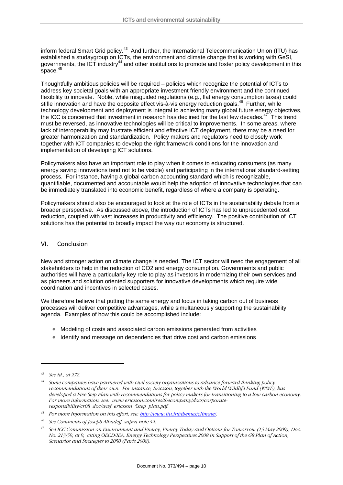inform federal Smart Grid policy.<sup>43</sup> And further, the International Telecommunication Union (ITU) has established a studaygroup on ICTs, the environment and climate change that is working with GeSI, governments, the ICT industry<sup>44</sup> and other institutions to promote and foster policy development in this space. $45$ 

address key societal goals with an appropriate investment friendly environment and the continued , technology development and deployment is integral to achieving many global future energy objectives must be reversed, as innovative technologies will be critical to improvements. In some areas, where lack of interoperability may frustrate efficient and effective ICT deployment, there may be a need for greater harmonization and standardization. Policy makers and regulators need to closely work together with ICT companies to develop the right framework conditions for the innovation and Thoughtfully ambitious policies will be required – policies which recognize the potential of ICTs to flexibility to innovate. Noble, while misguided regulations (e.g., flat energy consumption taxes) could stifle innovation and have the opposite effect vis-à-vis energy reduction goals.<sup>46</sup> Further, while the ICC is concerned that investment in research has declined for the last few decades.<sup>47</sup> This trend implementation of developing ICT solutions.

Policymakers also have an important role to play when it comes to educating consumers (as many quantifiable, documented and accountable would help the adoption of innovative technologies that can energy saving innovations tend not to be visible) and participating in the international standard-setting process. For instance, having a global carbon accounting standard which is recognizable, be immediately translated into economic benefit, regardless of where a company is operating.

broader perspective. As discussed above, the introduction of ICTs has led to unprecedented cost reduction, coupled with vast increases in productivity and efficiency. The positive contribution of ICT solutions has the potential to broadly impact the way our economy is structured. Policymakers should also be encouraged to look at the role of ICTs in the sustainability debate from a

#### VI. Conclusion

l New and stronger action on climate change is needed. The ICT sector will need the engagement of al authorities will have a particularly key role to play as investors in modernizing their own services and as pioneers and solution oriented supporters for innovative developments which require wide stakeholders to help in the reduction of CO2 and energy consumption. Governments and public coordination and incentives in selected cases.

We therefore believe that putting the same energy and focus in taking carbon out of business processes will deliver competitive advantages, while simultaneously supporting the sustainability age nda. Examples of how this could be accomplished include:

- Modeling of costs and associated carbon emissions generated from activities
- Identify and message on dependencies that drive cost and carbon emissions

<span id="page-10-0"></span>*<sup>43</sup> See id., at 272.* 

<span id="page-10-1"></span>*<sup>44</sup> Some companies have partnered with civil society organizations to advance forward-thinking policy recommendations of their own. For instance, Ericsson, together with the World Wildlife Fund (WWF), has developed a Five Step Plan with recommendations for policy makers for transitioning to a low carbon economy. For more information, see: www.ericsson.com/res/thecompany/docs/corporateresponsibility/cr08\_doc/wwf\_ericsson\_5step\_plan.pdf.* 

<span id="page-10-2"></span>*<sup>45</sup> For more information on this effort, see:<http://www.itu.int/themes/climate/>.* 

<span id="page-10-3"></span>*<sup>46</sup> See Comments of Joseph Alhadeff, supra note 42.*

<span id="page-10-4"></span>*<sup>47</sup> See ICC Commission on Environment and Energy, Energy Today and Options for Tomorrow (15 May 2009), Doc. No. 213/59, at 9, citing OECD/IEA, Energy Technology Perspectives 2008 in Support of the G8 Plan of Action, Scenarios and Strategies to 2050 (Paris 2008).*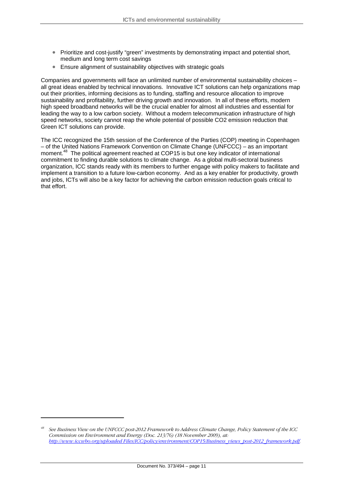- Prioritize and cost-justify "green" investments by demonstrating impact and potential short, medium and long term cost savings
- Ensure alignment of sustainability objectives with strategic goals

Companies and governments will face an unlimited number of environmental sustainability choices – all great ideas enabled by technical innovations. Innovative ICT solutions can help organizations m ap out their priorities, informing decisions as to funding, staffing and resource allocation to improve leading the way to a low carbon society. Without a modern telecommunication infrastructure of high speed networks, society cannot reap the whole potential of possible CO2 emission reduction that sustainability and profitability, further driving growth and innovation. In all of these efforts, modern high speed broadband networks will be the crucial enabler for almost all industries and essential for Green ICT solutions can provide.

moment.<sup>[48](#page-11-0)</sup> The political agreement reached at COP15 is but one key indicator of international commitment to finding durable solutions to climate change. As a global multi-sectoral business organization, ICC stands ready with its members to further engage with policy makers to facilitate and implement a transition to a future low-carbon economy. And as a key enabler for productivity, growth and jobs, ICTs will also be a key factor for achieving the carbon emission reduction goals critical to that effort. The ICC recognized the 15th session of the Conference of the Parties (COP) meeting in Copenhagen – of the United Nations Framework Convention on Climate Change (UNFCCC) – as an important

<span id="page-11-0"></span>*<sup>48</sup> See Business View on the UNFCCC post-2012 Framework to Address Climate Change, Policy Statement of the ICC Commission on Environment and Energy (Doc. 213/76) (18 November 2009), at: [http://www.iccwbo.org/uploaded Files/ICC/policy/environment/COP15/Business\\_views\\_post-2012\\_framework.pdf](http://www.iccwbo.org/uploaded Files/ICC/policy/environment/COP15/Business_views_post-2012_framework.pdf).*